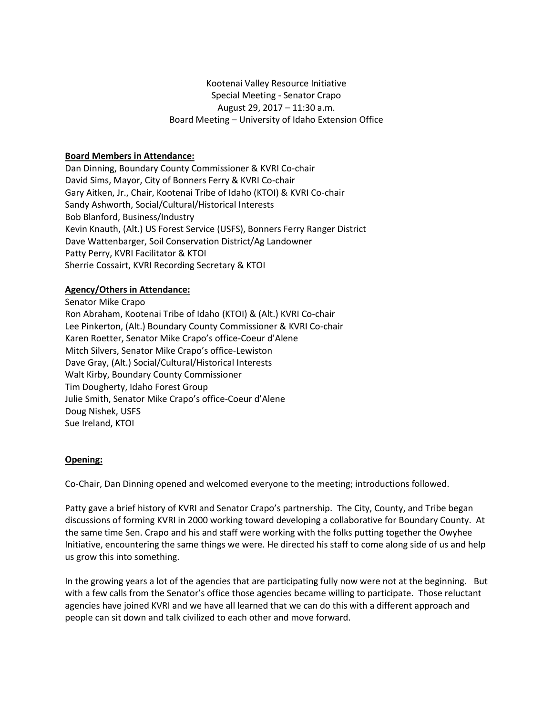Kootenai Valley Resource Initiative Special Meeting - Senator Crapo August 29, 2017 – 11:30 a.m. Board Meeting – University of Idaho Extension Office

# **Board Members in Attendance:**

Dan Dinning, Boundary County Commissioner & KVRI Co-chair David Sims, Mayor, City of Bonners Ferry & KVRI Co-chair Gary Aitken, Jr., Chair, Kootenai Tribe of Idaho (KTOI) & KVRI Co-chair Sandy Ashworth, Social/Cultural/Historical Interests Bob Blanford, Business/Industry Kevin Knauth, (Alt.) US Forest Service (USFS), Bonners Ferry Ranger District Dave Wattenbarger, Soil Conservation District/Ag Landowner Patty Perry, KVRI Facilitator & KTOI Sherrie Cossairt, KVRI Recording Secretary & KTOI

## **Agency/Others in Attendance:**

Senator Mike Crapo Ron Abraham, Kootenai Tribe of Idaho (KTOI) & (Alt.) KVRI Co-chair Lee Pinkerton, (Alt.) Boundary County Commissioner & KVRI Co-chair Karen Roetter, Senator Mike Crapo's office-Coeur d'Alene Mitch Silvers, Senator Mike Crapo's office-Lewiston Dave Gray, (Alt.) Social/Cultural/Historical Interests Walt Kirby, Boundary County Commissioner Tim Dougherty, Idaho Forest Group Julie Smith, Senator Mike Crapo's office-Coeur d'Alene Doug Nishek, USFS Sue Ireland, KTOI

## **Opening:**

Co-Chair, Dan Dinning opened and welcomed everyone to the meeting; introductions followed.

Patty gave a brief history of KVRI and Senator Crapo's partnership. The City, County, and Tribe began discussions of forming KVRI in 2000 working toward developing a collaborative for Boundary County. At the same time Sen. Crapo and his and staff were working with the folks putting together the Owyhee Initiative, encountering the same things we were. He directed his staff to come along side of us and help us grow this into something.

In the growing years a lot of the agencies that are participating fully now were not at the beginning. But with a few calls from the Senator's office those agencies became willing to participate. Those reluctant agencies have joined KVRI and we have all learned that we can do this with a different approach and people can sit down and talk civilized to each other and move forward.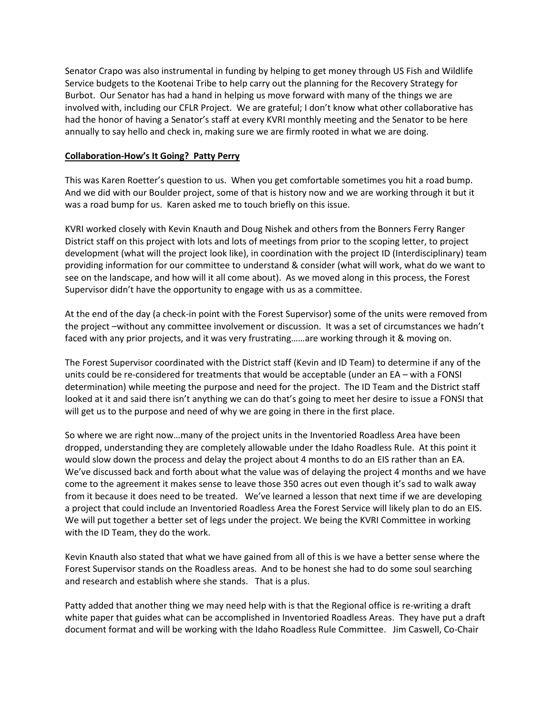Senator Crapo was also instrumental in funding by helping to get money through US Fish and Wildlife Service budgets to the Kootenai Tribe to help carry out the planning for the Recovery Strategy for Burbot. Our Senator has had a hand in helping us move forward with many of the things we are involved with, including our CFLR Project. We are grateful; I don't know what other collaborative has had the honor of having a Senator's staff at every KVRI monthly meeting and the Senator to be here annually to say hello and check in, making sure we are firmly rooted in what we are doing.

## **Collaboration-How's It Going? Patty Perry**

This was Karen Roetter's question to us. When you get comfortable sometimes you hit a road bump. And we did with our Boulder project, some of that is history now and we are working through it but it was a road bump for us. Karen asked me to touch briefly on this issue.

KVRI worked closely with Kevin Knauth and Doug Nishek and others from the Bonners Ferry Ranger District staff on this project with lots and lots of meetings from prior to the scoping letter, to project development (what will the project look like), in coordination with the project ID (Interdisciplinary) team providing information for our committee to understand & consider (what will work, what do we want to see on the landscape, and how will it all come about). As we moved along in this process, the Forest Supervisor didn't have the opportunity to engage with us as a committee.

At the end of the day (a check-in point with the Forest Supervisor) some of the units were removed from the project –without any committee involvement or discussion. It was a set of circumstances we hadn't faced with any prior projects, and it was very frustrating……are working through it & moving on.

The Forest Supervisor coordinated with the District staff (Kevin and ID Team) to determine if any of the units could be re-considered for treatments that would be acceptable (under an EA – with a FONSI determination) while meeting the purpose and need for the project. The ID Team and the District staff looked at it and said there isn't anything we can do that's going to meet her desire to issue a FONSI that will get us to the purpose and need of why we are going in there in the first place.

So where we are right now…many of the project units in the Inventoried Roadless Area have been dropped, understanding they are completely allowable under the Idaho Roadless Rule. At this point it would slow down the process and delay the project about 4 months to do an EIS rather than an EA. We've discussed back and forth about what the value was of delaying the project 4 months and we have come to the agreement it makes sense to leave those 350 acres out even though it's sad to walk away from it because it does need to be treated. We've learned a lesson that next time if we are developing a project that could include an Inventoried Roadless Area the Forest Service will likely plan to do an EIS. We will put together a better set of legs under the project. We being the KVRI Committee in working with the ID Team, they do the work.

Kevin Knauth also stated that what we have gained from all of this is we have a better sense where the Forest Supervisor stands on the Roadless areas. And to be honest she had to do some soul searching and research and establish where she stands. That is a plus.

Patty added that another thing we may need help with is that the Regional office is re-writing a draft white paper that guides what can be accomplished in Inventoried Roadless Areas. They have put a draft document format and will be working with the Idaho Roadless Rule Committee. Jim Caswell, Co-Chair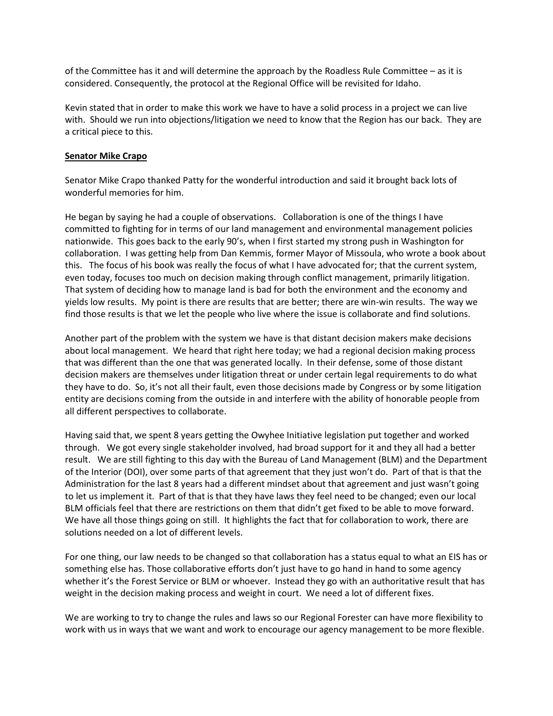of the Committee has it and will determine the approach by the Roadless Rule Committee – as it is considered. Consequently, the protocol at the Regional Office will be revisited for Idaho.

Kevin stated that in order to make this work we have to have a solid process in a project we can live with. Should we run into objections/litigation we need to know that the Region has our back. They are a critical piece to this.

#### **Senator Mike Crapo**

Senator Mike Crapo thanked Patty for the wonderful introduction and said it brought back lots of wonderful memories for him.

He began by saying he had a couple of observations. Collaboration is one of the things I have committed to fighting for in terms of our land management and environmental management policies nationwide. This goes back to the early 90's, when I first started my strong push in Washington for collaboration. I was getting help from Dan Kemmis, former Mayor of Missoula, who wrote a book about this. The focus of his book was really the focus of what I have advocated for; that the current system, even today, focuses too much on decision making through conflict management, primarily litigation. That system of deciding how to manage land is bad for both the environment and the economy and yields low results. My point is there are results that are better; there are win-win results. The way we find those results is that we let the people who live where the issue is collaborate and find solutions.

Another part of the problem with the system we have is that distant decision makers make decisions about local management. We heard that right here today; we had a regional decision making process that was different than the one that was generated locally. In their defense, some of those distant decision makers are themselves under litigation threat or under certain legal requirements to do what they have to do. So, it's not all their fault, even those decisions made by Congress or by some litigation entity are decisions coming from the outside in and interfere with the ability of honorable people from all different perspectives to collaborate.

Having said that, we spent 8 years getting the Owyhee Initiative legislation put together and worked through. We got every single stakeholder involved, had broad support for it and they all had a better result. We are still fighting to this day with the Bureau of Land Management (BLM) and the Department of the Interior (DOI), over some parts of that agreement that they just won't do. Part of that is that the Administration for the last 8 years had a different mindset about that agreement and just wasn't going to let us implement it. Part of that is that they have laws they feel need to be changed; even our local BLM officials feel that there are restrictions on them that didn't get fixed to be able to move forward. We have all those things going on still. It highlights the fact that for collaboration to work, there are solutions needed on a lot of different levels.

For one thing, our law needs to be changed so that collaboration has a status equal to what an EIS has or something else has. Those collaborative efforts don't just have to go hand in hand to some agency whether it's the Forest Service or BLM or whoever. Instead they go with an authoritative result that has weight in the decision making process and weight in court. We need a lot of different fixes.

We are working to try to change the rules and laws so our Regional Forester can have more flexibility to work with us in ways that we want and work to encourage our agency management to be more flexible.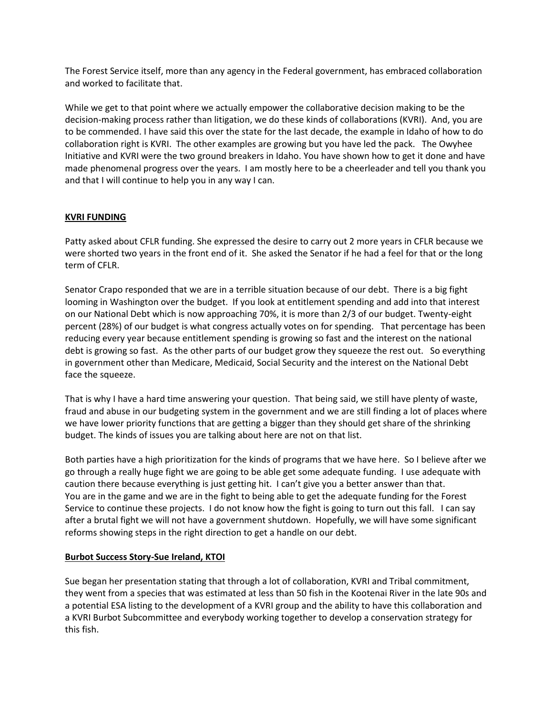The Forest Service itself, more than any agency in the Federal government, has embraced collaboration and worked to facilitate that.

While we get to that point where we actually empower the collaborative decision making to be the decision-making process rather than litigation, we do these kinds of collaborations (KVRI). And, you are to be commended. I have said this over the state for the last decade, the example in Idaho of how to do collaboration right is KVRI. The other examples are growing but you have led the pack. The Owyhee Initiative and KVRI were the two ground breakers in Idaho. You have shown how to get it done and have made phenomenal progress over the years. I am mostly here to be a cheerleader and tell you thank you and that I will continue to help you in any way I can.

# **KVRI FUNDING**

Patty asked about CFLR funding. She expressed the desire to carry out 2 more years in CFLR because we were shorted two years in the front end of it. She asked the Senator if he had a feel for that or the long term of CFLR.

Senator Crapo responded that we are in a terrible situation because of our debt. There is a big fight looming in Washington over the budget. If you look at entitlement spending and add into that interest on our National Debt which is now approaching 70%, it is more than 2/3 of our budget. Twenty-eight percent (28%) of our budget is what congress actually votes on for spending. That percentage has been reducing every year because entitlement spending is growing so fast and the interest on the national debt is growing so fast. As the other parts of our budget grow they squeeze the rest out. So everything in government other than Medicare, Medicaid, Social Security and the interest on the National Debt face the squeeze.

That is why I have a hard time answering your question. That being said, we still have plenty of waste, fraud and abuse in our budgeting system in the government and we are still finding a lot of places where we have lower priority functions that are getting a bigger than they should get share of the shrinking budget. The kinds of issues you are talking about here are not on that list.

Both parties have a high prioritization for the kinds of programs that we have here. So I believe after we go through a really huge fight we are going to be able get some adequate funding. I use adequate with caution there because everything is just getting hit. I can't give you a better answer than that. You are in the game and we are in the fight to being able to get the adequate funding for the Forest Service to continue these projects. I do not know how the fight is going to turn out this fall. I can say after a brutal fight we will not have a government shutdown. Hopefully, we will have some significant reforms showing steps in the right direction to get a handle on our debt.

## **Burbot Success Story-Sue Ireland, KTOI**

Sue began her presentation stating that through a lot of collaboration, KVRI and Tribal commitment, they went from a species that was estimated at less than 50 fish in the Kootenai River in the late 90s and a potential ESA listing to the development of a KVRI group and the ability to have this collaboration and a KVRI Burbot Subcommittee and everybody working together to develop a conservation strategy for this fish.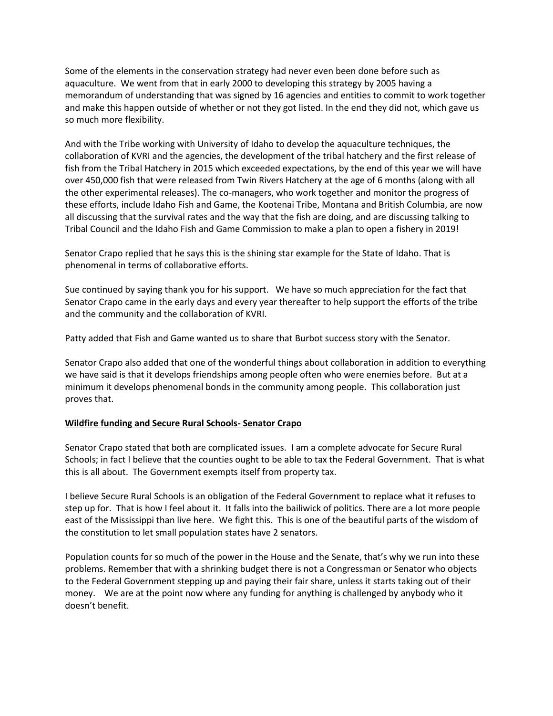Some of the elements in the conservation strategy had never even been done before such as aquaculture. We went from that in early 2000 to developing this strategy by 2005 having a memorandum of understanding that was signed by 16 agencies and entities to commit to work together and make this happen outside of whether or not they got listed. In the end they did not, which gave us so much more flexibility.

And with the Tribe working with University of Idaho to develop the aquaculture techniques, the collaboration of KVRI and the agencies, the development of the tribal hatchery and the first release of fish from the Tribal Hatchery in 2015 which exceeded expectations, by the end of this year we will have over 450,000 fish that were released from Twin Rivers Hatchery at the age of 6 months (along with all the other experimental releases). The co-managers, who work together and monitor the progress of these efforts, include Idaho Fish and Game, the Kootenai Tribe, Montana and British Columbia, are now all discussing that the survival rates and the way that the fish are doing, and are discussing talking to Tribal Council and the Idaho Fish and Game Commission to make a plan to open a fishery in 2019!

Senator Crapo replied that he says this is the shining star example for the State of Idaho. That is phenomenal in terms of collaborative efforts.

Sue continued by saying thank you for his support. We have so much appreciation for the fact that Senator Crapo came in the early days and every year thereafter to help support the efforts of the tribe and the community and the collaboration of KVRI.

Patty added that Fish and Game wanted us to share that Burbot success story with the Senator.

Senator Crapo also added that one of the wonderful things about collaboration in addition to everything we have said is that it develops friendships among people often who were enemies before. But at a minimum it develops phenomenal bonds in the community among people. This collaboration just proves that.

## **Wildfire funding and Secure Rural Schools- Senator Crapo**

Senator Crapo stated that both are complicated issues. I am a complete advocate for Secure Rural Schools; in fact I believe that the counties ought to be able to tax the Federal Government. That is what this is all about. The Government exempts itself from property tax.

I believe Secure Rural Schools is an obligation of the Federal Government to replace what it refuses to step up for. That is how I feel about it. It falls into the bailiwick of politics. There are a lot more people east of the Mississippi than live here. We fight this. This is one of the beautiful parts of the wisdom of the constitution to let small population states have 2 senators.

Population counts for so much of the power in the House and the Senate, that's why we run into these problems. Remember that with a shrinking budget there is not a Congressman or Senator who objects to the Federal Government stepping up and paying their fair share, unless it starts taking out of their money. We are at the point now where any funding for anything is challenged by anybody who it doesn't benefit.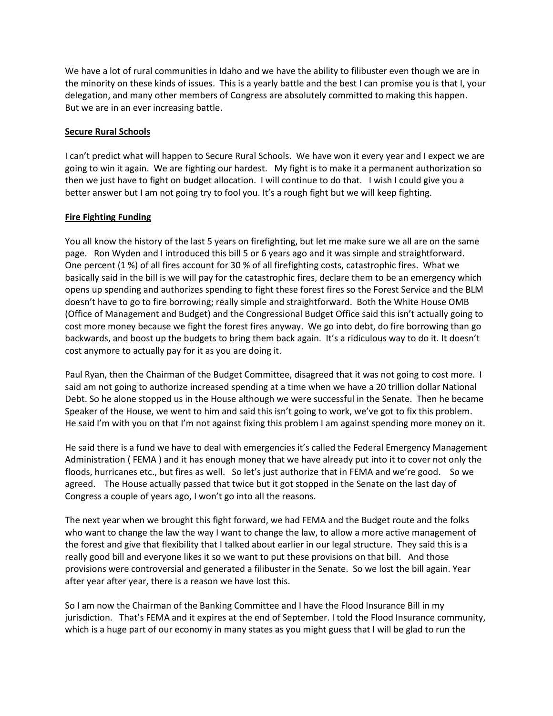We have a lot of rural communities in Idaho and we have the ability to filibuster even though we are in the minority on these kinds of issues. This is a yearly battle and the best I can promise you is that I, your delegation, and many other members of Congress are absolutely committed to making this happen. But we are in an ever increasing battle.

## **Secure Rural Schools**

I can't predict what will happen to Secure Rural Schools. We have won it every year and I expect we are going to win it again. We are fighting our hardest. My fight is to make it a permanent authorization so then we just have to fight on budget allocation. I will continue to do that. I wish I could give you a better answer but I am not going try to fool you. It's a rough fight but we will keep fighting.

# **Fire Fighting Funding**

You all know the history of the last 5 years on firefighting, but let me make sure we all are on the same page. Ron Wyden and I introduced this bill 5 or 6 years ago and it was simple and straightforward. One percent (1 %) of all fires account for 30 % of all firefighting costs, catastrophic fires. What we basically said in the bill is we will pay for the catastrophic fires, declare them to be an emergency which opens up spending and authorizes spending to fight these forest fires so the Forest Service and the BLM doesn't have to go to fire borrowing; really simple and straightforward. Both the White House OMB (Office of Management and Budget) and the Congressional Budget Office said this isn't actually going to cost more money because we fight the forest fires anyway. We go into debt, do fire borrowing than go backwards, and boost up the budgets to bring them back again. It's a ridiculous way to do it. It doesn't cost anymore to actually pay for it as you are doing it.

Paul Ryan, then the Chairman of the Budget Committee, disagreed that it was not going to cost more. I said am not going to authorize increased spending at a time when we have a 20 trillion dollar National Debt. So he alone stopped us in the House although we were successful in the Senate. Then he became Speaker of the House, we went to him and said this isn't going to work, we've got to fix this problem. He said I'm with you on that I'm not against fixing this problem I am against spending more money on it.

He said there is a fund we have to deal with emergencies it's called the Federal Emergency Management Administration ( FEMA ) and it has enough money that we have already put into it to cover not only the floods, hurricanes etc., but fires as well. So let's just authorize that in FEMA and we're good. So we agreed. The House actually passed that twice but it got stopped in the Senate on the last day of Congress a couple of years ago, I won't go into all the reasons.

The next year when we brought this fight forward, we had FEMA and the Budget route and the folks who want to change the law the way I want to change the law, to allow a more active management of the forest and give that flexibility that I talked about earlier in our legal structure. They said this is a really good bill and everyone likes it so we want to put these provisions on that bill. And those provisions were controversial and generated a filibuster in the Senate. So we lost the bill again. Year after year after year, there is a reason we have lost this.

So I am now the Chairman of the Banking Committee and I have the Flood Insurance Bill in my jurisdiction. That's FEMA and it expires at the end of September. I told the Flood Insurance community, which is a huge part of our economy in many states as you might guess that I will be glad to run the